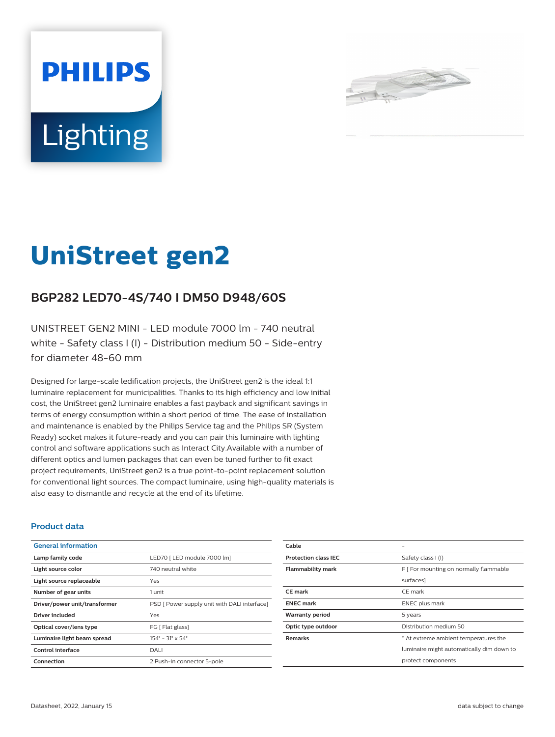



# **UniStreet gen2**

# **BGP282 LED70-4S/740 I DM50 D948/60S**

UNISTREET GEN2 MINI - LED module 7000 lm - 740 neutral white - Safety class I (I) - Distribution medium 50 - Side-entry for diameter 48-60 mm

Designed for large-scale ledification projects, the UniStreet gen2 is the ideal 1:1 luminaire replacement for municipalities. Thanks to its high efficiency and low initial cost, the UniStreet gen2 luminaire enables a fast payback and significant savings in terms of energy consumption within a short period of time. The ease of installation and maintenance is enabled by the Philips Service tag and the Philips SR (System Ready) socket makes it future-ready and you can pair this luminaire with lighting control and software applications such as Interact City.Available with a number of different optics and lumen packages that can even be tuned further to fit exact project requirements, UniStreet gen2 is a true point-to-point replacement solution for conventional light sources. The compact luminaire, using high-quality materials is also easy to dismantle and recycle at the end of its lifetime.

## **Product data**

| <b>General information</b>    |                                              |
|-------------------------------|----------------------------------------------|
| Lamp family code              | LED70   LED module 7000 lm]                  |
| Light source color            | 740 neutral white                            |
| Light source replaceable      | Yes                                          |
| Number of gear units          | 1 unit                                       |
| Driver/power unit/transformer | PSD [ Power supply unit with DALI interface] |
| Driver included               | Yes                                          |
| Optical cover/lens type       | FG [ Flat glass]                             |
| Luminaire light beam spread   | $154^{\circ} - 31^{\circ} \times 54^{\circ}$ |
| Control interface             | DALI                                         |
| Connection                    | 2 Push-in connector 5-pole                   |

| Cable                       |                                           |
|-----------------------------|-------------------------------------------|
| <b>Protection class IEC</b> | Safety class I (I)                        |
| <b>Flammability mark</b>    | F [ For mounting on normally flammable    |
|                             | surfaces]                                 |
| <b>CE</b> mark              | CE mark                                   |
| <b>ENEC mark</b>            | <b>ENEC</b> plus mark                     |
| <b>Warranty period</b>      | 5 years                                   |
| Optic type outdoor          | Distribution medium 50                    |
| <b>Remarks</b>              | * At extreme ambient temperatures the     |
|                             | luminaire might automatically dim down to |
|                             | protect components                        |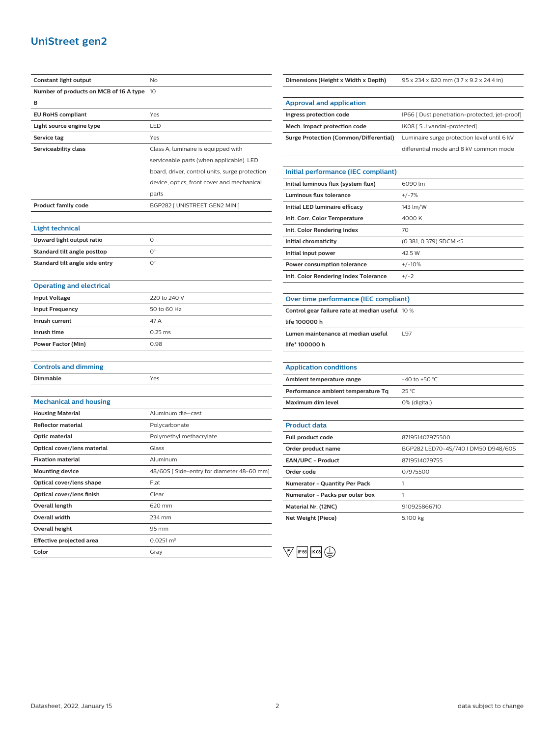# **UniStreet gen2**

| Constant light output                  | No                                             |
|----------------------------------------|------------------------------------------------|
| Number of products on MCB of 16 A type | 10                                             |
| в                                      |                                                |
| <b>EU RoHS compliant</b>               | Yes                                            |
| Light source engine type               | LED                                            |
| Service tag                            | Yes                                            |
| Serviceability class                   | Class A, luminaire is equipped with            |
|                                        | serviceable parts (when applicable): LED       |
|                                        | board, driver, control units, surge protection |
|                                        | device, optics, front cover and mechanical     |
|                                        | parts                                          |
| <b>Product family code</b>             | BGP282 [ UNISTREET GEN2 MINI]                  |
|                                        |                                                |
| Light technical                        |                                                |
| Upward light output ratio              | 0                                              |
| Standard tilt angle posttop            | $\mathsf{O}^\circ$                             |
| Standard tilt angle side entry         | $\mathsf{O}^\circ$                             |
|                                        |                                                |
| <b>Operating and electrical</b>        |                                                |
| <b>Input Voltage</b>                   | 220 to 240 V                                   |
| <b>Input Frequency</b>                 | 50 to 60 Hz                                    |
| Inrush current                         | 47 A                                           |
| Inrush time                            | $0.25$ ms                                      |
| Power Factor (Min)                     | 0.98                                           |
|                                        |                                                |
| <b>Controls and dimming</b>            |                                                |
| <b>Dimmable</b>                        | Yes                                            |
|                                        |                                                |
| <b>Mechanical and housing</b>          |                                                |
| <b>Housing Material</b>                | Aluminum die–cast                              |
| <b>Reflector material</b>              | Polycarbonate                                  |
| Optic material                         | Polymethyl methacrylate                        |
| Optical cover/lens material            | Glass                                          |
| <b>Fixation material</b>               | Aluminum                                       |
| <b>Mounting device</b>                 | 48/60S [Side-entry for diameter 48-60 mm]      |
| Optical cover/lens shape               | Flat                                           |
| Optical cover/lens finish              | Clear                                          |
| Overall length                         | 620 mm                                         |
| Overall width                          | 234 mm                                         |
| Overall height                         | 95 mm                                          |
| Effective projected area               | $0.0251 \, \text{m}^2$                         |
| Color                                  | Gray                                           |

|  | Dimensions (Height x Width x Depth) |  |
|--|-------------------------------------|--|
|--|-------------------------------------|--|

**Dimensions (Height x Width x Depth)** 95 x 234 x 620 mm (3.7 x 9.2 x 24.4 in)

| <b>Approval and application</b>               |                                               |
|-----------------------------------------------|-----------------------------------------------|
| Ingress protection code                       | IP66 [ Dust penetration-protected, jet-proof] |
| Mech. impact protection code                  | IK08 [ 5 J vandal-protected]                  |
| <b>Surge Protection (Common/Differential)</b> | Luminaire surge protection level until 6 kV   |
|                                               | differential mode and 8 kV common mode        |

## **Initial performance (IEC compliant) Initial luminous flux (system flux)** 6090 lm **Luminous flux tolerance** +/-7% **Initial LED luminaire efficacy** 143 lm/W **Init. Corr. Color Temperature** 4000 K **Init. Color Rendering Index** 70 **Initial chromaticity** (0.381, 0.379) SDCM <5 **Initial input power** 42.5 W **Power consumption tolerance**  $+/-10\%$ **Init. Color Rendering Index Tolerance** +/-2

#### **Over time performance (IEC compliant)**

**Control gear failure rate at median useful** 10 %

**life 100000 h**

**Lumen maintenance at median useful** L97

**life\* 100000 h**

## **Application conditions**

| Ambient temperature range          | $-40$ to +50 °C. |
|------------------------------------|------------------|
| Performance ambient temperature Tq | 25 °C            |
| Maximum dim level                  | 0% (digital)     |

| <b>Product data</b>                  |                                     |
|--------------------------------------|-------------------------------------|
| Full product code                    | 871951407975500                     |
| Order product name                   | BGP282 LED70-4S/740   DM50 D948/60S |
| EAN/UPC - Product                    | 8719514079755                       |
| Order code                           | 07975500                            |
| <b>Numerator - Quantity Per Pack</b> |                                     |
| Numerator - Packs per outer box      |                                     |
| Material Nr. (12NC)                  | 910925866710                        |
| Net Weight (Piece)                   | 5.100 kg                            |